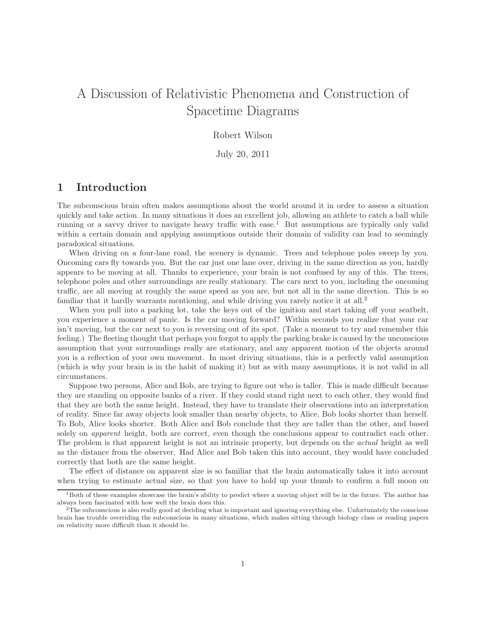# A Discussion of Relativistic Phenomena and Construction of Spacetime Diagrams

#### Robert Wilson

July 20, 2011

#### 1 Introduction

The subconscious brain often makes assumptions about the world around it in order to assess a situation quickly and take action. In many situations it does an excellent job, allowing an athlete to catch a ball while running or a savvy driver to navigate heavy traffic with ease.<sup>1</sup> But assumptions are typically only valid within a certain domain and applying assumptions outside their domain of validity can lead to seemingly paradoxical situations.

When driving on a four-lane road, the scenery is dynamic. Trees and telephone poles sweep by you. Oncoming cars fly towards you. But the car just one lane over, driving in the same direction as you, hardly appears to be moving at all. Thanks to experience, your brain is not confused by any of this. The trees, telephone poles and other surroundings are really stationary. The cars next to you, including the oncoming traffic, are all moving at roughly the same speed as you are, but not all in the same direction. This is so familiar that it hardly warrants mentioning, and while driving you rarely notice it at all.<sup>2</sup>

When you pull into a parking lot, take the keys out of the ignition and start taking off your seatbelt, you experience a moment of panic. Is the car moving forward? Within seconds you realize that your car isn't moving, but the car next to you is reversing out of its spot. (Take a moment to try and remember this feeling.) The fleeting thought that perhaps you forgot to apply the parking brake is caused by the unconscious assumption that your surroundings really are stationary, and any apparent motion of the objects around you is a reflection of your own movement. In most driving situations, this is a perfectly valid assumption (which is why your brain is in the habit of making it) but as with many assumptions, it is not valid in all circumstances.

Suppose two persons, Alice and Bob, are trying to figure out who is taller. This is made difficult because they are standing on opposite banks of a river. If they could stand right next to each other, they would find that they are both the same height. Instead, they have to translate their observations into an interpretation of reality. Since far away objects look smaller than nearby objects, to Alice, Bob looks shorter than herself. To Bob, Alice looks shorter. Both Alice and Bob conclude that they are taller than the other, and based solely on *apparent* height, both are correct, even though the conclusions appear to contradict each other. The problem is that apparent height is not an intrinsic property, but depends on the actual height as well as the distance from the observer. Had Alice and Bob taken this into account, they would have concluded correctly that both are the same height.

The effect of distance on apparent size is so familiar that the brain automatically takes it into account when trying to estimate actual size, so that you have to hold up your thumb to confirm a full moon on

<sup>&</sup>lt;sup>1</sup>Both of these examples showcase the brain's ability to predict where a moving object will be in the future. The author has always been fascinated with how well the brain does this.

<sup>2</sup>The subconscious is also really good at deciding what is important and ignoring everything else. Unfortunately the conscious brain has trouble overriding the subconscious in many situations, which makes sitting through biology class or reading papers on relativity more difficult than it should be.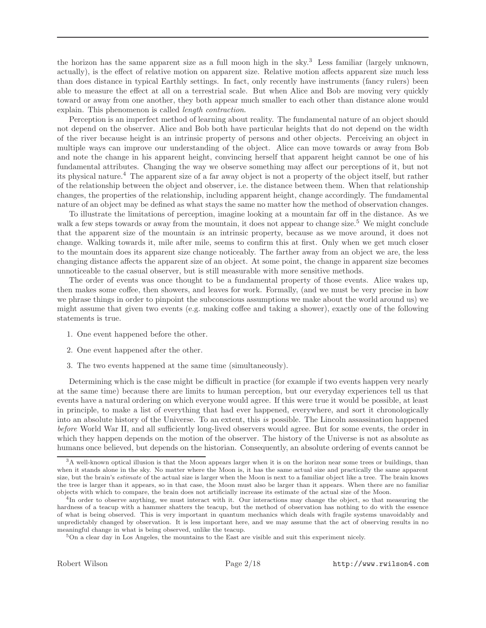the horizon has the same apparent size as a full moon high in the sky.<sup>3</sup> Less familiar (largely unknown, actually), is the effect of relative motion on apparent size. Relative motion affects apparent size much less than does distance in typical Earthly settings. In fact, only recently have instruments (fancy rulers) been able to measure the effect at all on a terrestrial scale. But when Alice and Bob are moving very quickly toward or away from one another, they both appear much smaller to each other than distance alone would explain. This phenomenon is called length contraction.

Perception is an imperfect method of learning about reality. The fundamental nature of an object should not depend on the observer. Alice and Bob both have particular heights that do not depend on the width of the river because height is an intrinsic property of persons and other objects. Perceiving an object in multiple ways can improve our understanding of the object. Alice can move towards or away from Bob and note the change in his apparent height, convincing herself that apparent height cannot be one of his fundamental attributes. Changing the way we observe something may affect our perceptions of it, but not its physical nature.<sup>4</sup> The apparent size of a far away object is not a property of the object itself, but rather of the relationship between the object and observer, i.e. the distance between them. When that relationship changes, the properties of the relationship, including apparent height, change accordingly. The fundamental nature of an object may be defined as what stays the same no matter how the method of observation changes.

To illustrate the limitations of perception, imagine looking at a mountain far off in the distance. As we walk a few steps towards or away from the mountain, it does not appear to change size.<sup>5</sup> We might conclude that the apparent size of the mountain is an intrinsic property, because as we move around, it does not change. Walking towards it, mile after mile, seems to confirm this at first. Only when we get much closer to the mountain does its apparent size change noticeably. The farther away from an object we are, the less changing distance affects the apparent size of an object. At some point, the change in apparent size becomes unnoticeable to the casual observer, but is still measurable with more sensitive methods.

The order of events was once thought to be a fundamental property of those events. Alice wakes up, then makes some coffee, then showers, and leaves for work. Formally, (and we must be very precise in how we phrase things in order to pinpoint the subconscious assumptions we make about the world around us) we might assume that given two events (e.g. making coffee and taking a shower), exactly one of the following statements is true.

- 1. One event happened before the other.
- 2. One event happened after the other.
- 3. The two events happened at the same time (simultaneously).

Determining which is the case might be difficult in practice (for example if two events happen very nearly at the same time) because there are limits to human perception, but our everyday experiences tell us that events have a natural ordering on which everyone would agree. If this were true it would be possible, at least in principle, to make a list of everything that had ever happened, everywhere, and sort it chronologically into an absolute history of the Universe. To an extent, this is possible. The Lincoln assassination happened before World War II, and all sufficiently long-lived observers would agree. But for some events, the order in which they happen depends on the motion of the observer. The history of the Universe is not as absolute as humans once believed, but depends on the historian. Consequently, an absolute ordering of events cannot be

<sup>3</sup>A well-known optical illusion is that the Moon appears larger when it is on the horizon near some trees or buildings, than when it stands alone in the sky. No matter where the Moon is, it has the same actual size and practically the same apparent size, but the brain's estimate of the actual size is larger when the Moon is next to a familiar object like a tree. The brain knows the tree is larger than it appears, so in that case, the Moon must also be larger than it appears. When there are no familiar objects with which to compare, the brain does not artificially increase its estimate of the actual size of the Moon.

<sup>4</sup> In order to observe anything, we must interact with it. Our interactions may change the object, so that measuring the hardness of a teacup with a hammer shatters the teacup, but the method of observation has nothing to do with the essence of what is being observed. This is very important in quantum mechanics which deals with fragile systems unavoidably and unpredictably changed by observation. It is less important here, and we may assume that the act of observing results in no meaningful change in what is being observed, unlike the teacup.

<sup>5</sup>On a clear day in Los Angeles, the mountains to the East are visible and suit this experiment nicely.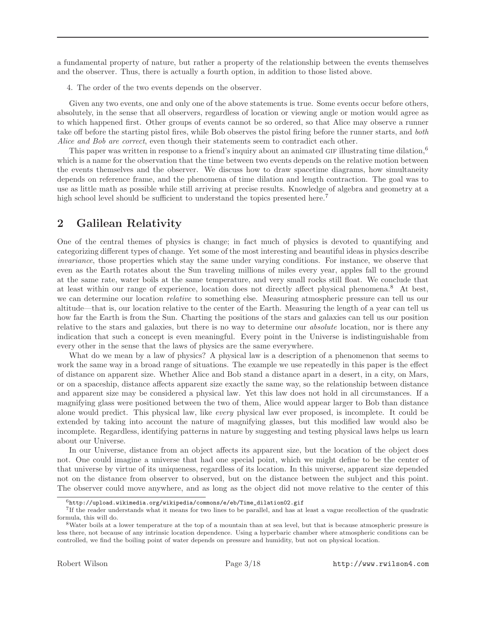a fundamental property of nature, but rather a property of the relationship between the events themselves and the observer. Thus, there is actually a fourth option, in addition to those listed above.

4. The order of the two events depends on the observer.

Given any two events, one and only one of the above statements is true. Some events occur before others, absolutely, in the sense that all observers, regardless of location or viewing angle or motion would agree as to which happened first. Other groups of events cannot be so ordered, so that Alice may observe a runner take off before the starting pistol fires, while Bob observes the pistol firing before the runner starts, and both Alice and Bob are correct, even though their statements seem to contradict each other.

This paper was written in response to a friend's inquiry about an animated GIF illustrating time dilation,  $6$ which is a name for the observation that the time between two events depends on the relative motion between the events themselves and the observer. We discuss how to draw spacetime diagrams, how simultaneity depends on reference frame, and the phenomena of time dilation and length contraction. The goal was to use as little math as possible while still arriving at precise results. Knowledge of algebra and geometry at a high school level should be sufficient to understand the topics presented here.<sup>7</sup>

# 2 Galilean Relativity

One of the central themes of physics is change; in fact much of physics is devoted to quantifying and categorizing different types of change. Yet some of the most interesting and beautiful ideas in physics describe invariance, those properties which stay the same under varying conditions. For instance, we observe that even as the Earth rotates about the Sun traveling millions of miles every year, apples fall to the ground at the same rate, water boils at the same temperature, and very small rocks still float. We conclude that at least within our range of experience, location does not directly affect physical phenomena.<sup>8</sup> At best, we can determine our location relative to something else. Measuring atmospheric pressure can tell us our altitude—that is, our location relative to the center of the Earth. Measuring the length of a year can tell us how far the Earth is from the Sun. Charting the positions of the stars and galaxies can tell us our position relative to the stars and galaxies, but there is no way to determine our *absolute* location, nor is there any indication that such a concept is even meaningful. Every point in the Universe is indistinguishable from every other in the sense that the laws of physics are the same everywhere.

What do we mean by a law of physics? A physical law is a description of a phenomenon that seems to work the same way in a broad range of situations. The example we use repeatedly in this paper is the effect of distance on apparent size. Whether Alice and Bob stand a distance apart in a desert, in a city, on Mars, or on a spaceship, distance affects apparent size exactly the same way, so the relationship between distance and apparent size may be considered a physical law. Yet this law does not hold in all circumstances. If a magnifying glass were positioned between the two of them, Alice would appear larger to Bob than distance alone would predict. This physical law, like every physical law ever proposed, is incomplete. It could be extended by taking into account the nature of magnifying glasses, but this modified law would also be incomplete. Regardless, identifying patterns in nature by suggesting and testing physical laws helps us learn about our Universe.

In our Universe, distance from an object affects its apparent size, but the location of the object does not. One could imagine a universe that had one special point, which we might define to be the center of that universe by virtue of its uniqueness, regardless of its location. In this universe, apparent size depended not on the distance from observer to observed, but on the distance between the subject and this point. The observer could move anywhere, and as long as the object did not move relative to the center of this

 $^6$ http://upload.wikimedia.org/wikipedia/commons/e/eb/Time\_dilation02.gif

<sup>7</sup> If the reader understands what it means for two lines to be parallel, and has at least a vague recollection of the quadratic formula, this will do.

<sup>8</sup>Water boils at a lower temperature at the top of a mountain than at sea level, but that is because atmospheric pressure is less there, not because of any intrinsic location dependence. Using a hyperbaric chamber where atmospheric conditions can be controlled, we find the boiling point of water depends on pressure and humidity, but not on physical location.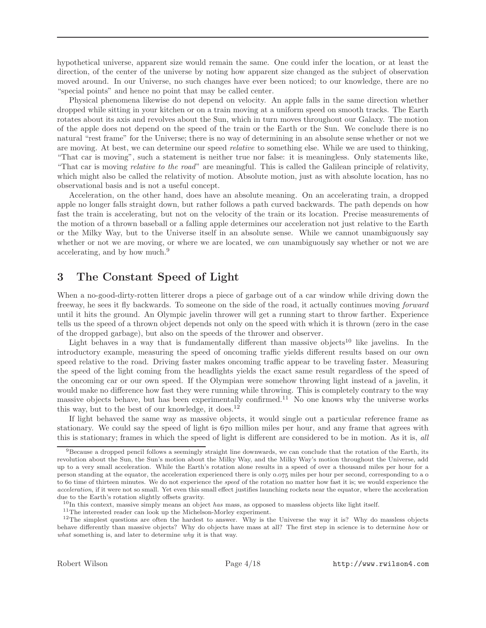hypothetical universe, apparent size would remain the same. One could infer the location, or at least the direction, of the center of the universe by noting how apparent size changed as the subject of observation moved around. In our Universe, no such changes have ever been noticed; to our knowledge, there are no "special points" and hence no point that may be called center.

Physical phenomena likewise do not depend on velocity. An apple falls in the same direction whether dropped while sitting in your kitchen or on a train moving at a uniform speed on smooth tracks. The Earth rotates about its axis and revolves about the Sun, which in turn moves throughout our Galaxy. The motion of the apple does not depend on the speed of the train or the Earth or the Sun. We conclude there is no natural "rest frame" for the Universe; there is no way of determining in an absolute sense whether or not we are moving. At best, we can determine our speed *relative* to something else. While we are used to thinking, "That car is moving", such a statement is neither true nor false: it is meaningless. Only statements like, "That car is moving relative to the road" are meaningful. This is called the Galilean principle of relativity, which might also be called the relativity of motion. Absolute motion, just as with absolute location, has no observational basis and is not a useful concept.

Acceleration, on the other hand, does have an absolute meaning. On an accelerating train, a dropped apple no longer falls straight down, but rather follows a path curved backwards. The path depends on how fast the train is accelerating, but not on the velocity of the train or its location. Precise measurements of the motion of a thrown baseball or a falling apple determines our acceleration not just relative to the Earth or the Milky Way, but to the Universe itself in an absolute sense. While we cannot unambiguously say whether or not we are moving, or where we are located, we *can* unambiguously say whether or not we are accelerating, and by how much.<sup>9</sup>

### 3 The Constant Speed of Light

When a no-good-dirty-rotten litterer drops a piece of garbage out of a car window while driving down the freeway, he sees it fly backwards. To someone on the side of the road, it actually continues moving forward until it hits the ground. An Olympic javelin thrower will get a running start to throw farther. Experience tells us the speed of a thrown object depends not only on the speed with which it is thrown (zero in the case of the dropped garbage), but also on the speeds of the thrower and observer.

Light behaves in a way that is fundamentally different than massive objects<sup>10</sup> like javelins. In the introductory example, measuring the speed of oncoming traffic yields different results based on our own speed relative to the road. Driving faster makes oncoming traffic appear to be traveling faster. Measuring the speed of the light coming from the headlights yields the exact same result regardless of the speed of the oncoming car or our own speed. If the Olympian were somehow throwing light instead of a javelin, it would make no difference how fast they were running while throwing. This is completely contrary to the way massive objects behave, but has been experimentally confirmed.<sup>11</sup> No one knows why the universe works this way, but to the best of our knowledge, it does.<sup>12</sup>

If light behaved the same way as massive objects, it would single out a particular reference frame as stationary. We could say the speed of light is 670 million miles per hour, and any frame that agrees with this is stationary; frames in which the speed of light is different are considered to be in motion. As it is, all

 $^{11}\mathrm{The}$  interested reader can look up the Michelson-Morley experiment.

 $9$ Because a dropped pencil follows a seemingly straight line downwards, we can conclude that the rotation of the Earth, its revolution about the Sun, the Sun's motion about the Milky Way, and the Milky Way's motion throughout the Universe, add up to a very small acceleration. While the Earth's rotation alone results in a speed of over a thousand miles per hour for a person standing at the equator, the acceleration experienced there is only 0.075 miles per hour per second, corresponding to a 0 to 60 time of thirteen minutes. We do not experience the speed of the rotation no matter how fast it is; we would experience the acceleration, if it were not so small. Yet even this small effect justifies launching rockets near the equator, where the acceleration due to the Earth's rotation slightly offsets gravity.

<sup>&</sup>lt;sup>10</sup>In this context, massive simply means an object has mass, as opposed to massless objects like light itself.

 $12$ The simplest questions are often the hardest to answer. Why is the Universe the way it is? Why do massless objects behave differently than massive objects? Why do objects have mass at all? The first step in science is to determine how or what something is, and later to determine why it is that way.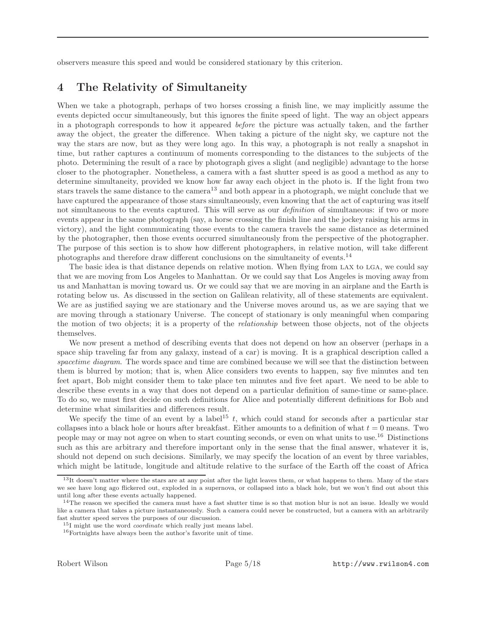observers measure this speed and would be considered stationary by this criterion.

### 4 The Relativity of Simultaneity

When we take a photograph, perhaps of two horses crossing a finish line, we may implicitly assume the events depicted occur simultaneously, but this ignores the finite speed of light. The way an object appears in a photograph corresponds to how it appeared before the picture was actually taken, and the farther away the object, the greater the difference. When taking a picture of the night sky, we capture not the way the stars are now, but as they were long ago. In this way, a photograph is not really a snapshot in time, but rather captures a continuum of moments corresponding to the distances to the subjects of the photo. Determining the result of a race by photograph gives a slight (and negligible) advantage to the horse closer to the photographer. Nonetheless, a camera with a fast shutter speed is as good a method as any to determine simultaneity, provided we know how far away each object in the photo is. If the light from two stars travels the same distance to the camera<sup>13</sup> and both appear in a photograph, we might conclude that we have captured the appearance of those stars simultaneously, even knowing that the act of capturing was itself not simultaneous to the events captured. This will serve as our *definition* of simultaneous: if two or more events appear in the same photograph (say, a horse crossing the finish line and the jockey raising his arms in victory), and the light communicating those events to the camera travels the same distance as determined by the photographer, then those events occurred simultaneously from the perspective of the photographer. The purpose of this section is to show how different photographers, in relative motion, will take different photographs and therefore draw different conclusions on the simultaneity of events.<sup>14</sup>

The basic idea is that distance depends on relative motion. When flying from LAX to LGA, we could say that we are moving from Los Angeles to Manhattan. Or we could say that Los Angeles is moving away from us and Manhattan is moving toward us. Or we could say that we are moving in an airplane and the Earth is rotating below us. As discussed in the section on Galilean relativity, all of these statements are equivalent. We are as justified saying we are stationary and the Universe moves around us, as we are saying that we are moving through a stationary Universe. The concept of stationary is only meaningful when comparing the motion of two objects; it is a property of the relationship between those objects, not of the objects themselves.

We now present a method of describing events that does not depend on how an observer (perhaps in a space ship traveling far from any galaxy, instead of a car) is moving. It is a graphical description called a spacetime diagram. The words space and time are combined because we will see that the distinction between them is blurred by motion; that is, when Alice considers two events to happen, say five minutes and ten feet apart, Bob might consider them to take place ten minutes and five feet apart. We need to be able to describe these events in a way that does not depend on a particular definition of same-time or same-place. To do so, we must first decide on such definitions for Alice and potentially different definitions for Bob and determine what similarities and differences result.

We specify the time of an event by a label<sup>15</sup> t, which could stand for seconds after a particular star collapses into a black hole or hours after breakfast. Either amounts to a definition of what  $t = 0$  means. Two people may or may not agree on when to start counting seconds, or even on what units to use.<sup>16</sup> Distinctions such as this are arbitrary and therefore important only in the sense that the final answer, whatever it is, should not depend on such decisions. Similarly, we may specify the location of an event by three variables, which might be latitude, longitude and altitude relative to the surface of the Earth off the coast of Africa

<sup>13</sup>It doesn't matter where the stars are at any point after the light leaves them, or what happens to them. Many of the stars we see have long ago flickered out, exploded in a supernova, or collapsed into a black hole, but we won't find out about this until long after these events actually happened.

 $14$ The reason we specified the camera must have a fast shutter time is so that motion blur is not an issue. Ideally we would like a camera that takes a picture instantaneously. Such a camera could never be constructed, but a camera with an arbitrarily fast shutter speed serves the purposes of our discussion.

 $^{15}$ I might use the word *coordinate* which really just means label.

 $^{16}\rm{Fortnights}$  have always been the author's favorite unit of time.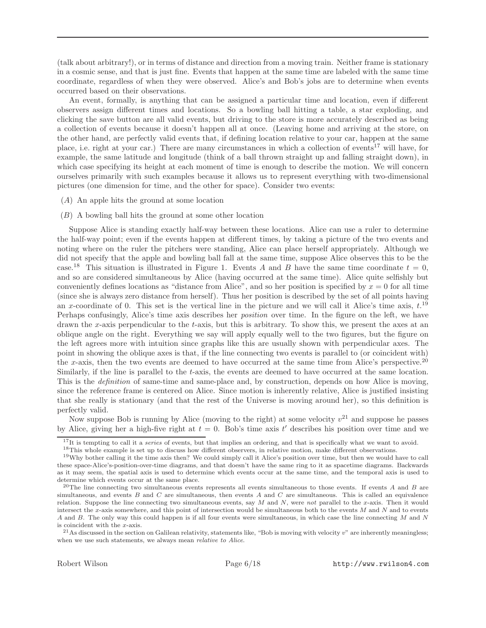(talk about arbitrary!), or in terms of distance and direction from a moving train. Neither frame is stationary in a cosmic sense, and that is just fine. Events that happen at the same time are labeled with the same time coordinate, regardless of when they were observed. Alice's and Bob's jobs are to determine when events occurred based on their observations.

An event, formally, is anything that can be assigned a particular time and location, even if different observers assign different times and locations. So a bowling ball hitting a table, a star exploding, and clicking the save button are all valid events, but driving to the store is more accurately described as being a collection of events because it doesn't happen all at once. (Leaving home and arriving at the store, on the other hand, are perfectly valid events that, if defining location relative to your car, happen at the same place, i.e. right at your car.) There are many circumstances in which a collection of events<sup>17</sup> will have, for example, the same latitude and longitude (think of a ball thrown straight up and falling straight down), in which case specifying its height at each moment of time is enough to describe the motion. We will concern ourselves primarily with such examples because it allows us to represent everything with two-dimensional pictures (one dimension for time, and the other for space). Consider two events:

- (A) An apple hits the ground at some location
- (B) A bowling ball hits the ground at some other location

Suppose Alice is standing exactly half-way between these locations. Alice can use a ruler to determine the half-way point; even if the events happen at different times, by taking a picture of the two events and noting where on the ruler the pitchers were standing, Alice can place herself appropriately. Although we did not specify that the apple and bowling ball fall at the same time, suppose Alice observes this to be the case.<sup>18</sup> This situation is illustrated in Figure 1. Events A and B have the same time coordinate  $t = 0$ , and so are considered simultaneous by Alice (having occurred at the same time). Alice quite selfishly but conveniently defines locations as "distance from Alice", and so her position is specified by  $x = 0$  for all time (since she is always zero distance from herself). Thus her position is described by the set of all points having an x-coordinate of 0. This set is the vertical line in the picture and we will call it Alice's time axis,  $t^{19}$ Perhaps confusingly, Alice's time axis describes her position over time. In the figure on the left, we have drawn the x-axis perpendicular to the t-axis, but this is arbitrary. To show this, we present the axes at an oblique angle on the right. Everything we say will apply equally well to the two figures, but the figure on the left agrees more with intuition since graphs like this are usually shown with perpendicular axes. The point in showing the oblique axes is that, if the line connecting two events is parallel to (or coincident with) the x-axis, then the two events are deemed to have occurred at the same time from Alice's perspective.<sup>20</sup> Similarly, if the line is parallel to the t-axis, the events are deemed to have occurred at the same location. This is the definition of same-time and same-place and, by construction, depends on how Alice is moving, since the reference frame is centered on Alice. Since motion is inherently relative, Alice is justified insisting that she really is stationary (and that the rest of the Universe is moving around her), so this definition is perfectly valid.

Now suppose Bob is running by Alice (moving to the right) at some velocity  $v^{21}$  and suppose he passes by Alice, giving her a high-five right at  $t = 0$ . Bob's time axis t' describes his position over time and we

 $17$ It is tempting to call it a *series* of events, but that implies an ordering, and that is specifically what we want to avoid.

<sup>&</sup>lt;sup>18</sup>This whole example is set up to discuss how different observers, in relative motion, make different observations.

<sup>19</sup>Why bother calling it the time axis then? We could simply call it Alice's position over time, but then we would have to call these space-Alice's-position-over-time diagrams, and that doesn't have the same ring to it as spacetime diagrams. Backwards as it may seem, the spatial axis is used to determine which events occur at the same time, and the temporal axis is used to determine which events occur at the same place.

<sup>&</sup>lt;sup>20</sup>The line connecting two simultaneous events represents all events simultaneous to those events. If events  $A$  and  $B$  are simultaneous, and events  $B$  and  $C$  are simultaneous, then events  $A$  and  $C$  are simultaneous. This is called an equivalence relation. Suppose the line connecting two simultaneous events, say  $M$  and  $N$ , were not parallel to the x-axis. Then it would intersect the x-axis somewhere, and this point of intersection would be simultaneous both to the events  $M$  and  $N$  and to events A and B. The only way this could happen is if all four events were simultaneous, in which case the line connecting M and N is coincident with the x-axis.

<sup>&</sup>lt;sup>21</sup>As discussed in the section on Galilean relativity, statements like, "Bob is moving with velocity  $v$ " are inherently meaningless; when we use such statements, we always mean relative to Alice.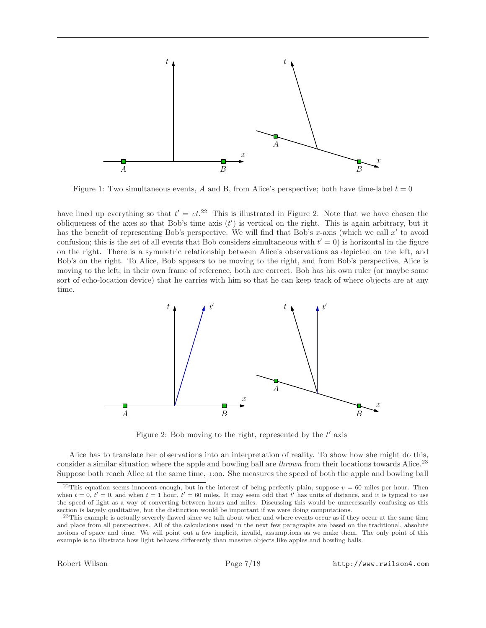

Figure 1: Two simultaneous events, A and B, from Alice's perspective; both have time-label  $t = 0$ 

have lined up everything so that  $t' = vt^{22}$  This is illustrated in Figure 2. Note that we have chosen the obliqueness of the axes so that Bob's time axis  $(t')$  is vertical on the right. This is again arbitrary, but it has the benefit of representing Bob's perspective. We will find that Bob's x-axis (which we call  $x'$  to avoid confusion; this is the set of all events that Bob considers simultaneous with  $t' = 0$  is horizontal in the figure on the right. There is a symmetric relationship between Alice's observations as depicted on the left, and Bob's on the right. To Alice, Bob appears to be moving to the right, and from Bob's perspective, Alice is moving to the left; in their own frame of reference, both are correct. Bob has his own ruler (or maybe some sort of echo-location device) that he carries with him so that he can keep track of where objects are at any time.



Figure 2: Bob moving to the right, represented by the  $t'$  axis

Alice has to translate her observations into an interpretation of reality. To show how she might do this, consider a similar situation where the apple and bowling ball are *thrown* from their locations towards Alice.<sup>23</sup> Suppose both reach Alice at the same time, 1:00. She measures the speed of both the apple and bowling ball

<sup>&</sup>lt;sup>22</sup>This equation seems innocent enough, but in the interest of being perfectly plain, suppose  $v = 60$  miles per hour. Then when  $t = 0$ ,  $t' = 0$ , and when  $t = 1$  hour,  $t' = 60$  miles. It may seem odd that t' has units of distance, and it is typical to use the speed of light as a way of converting between hours and miles. Discussing this would be unnecessarily confusing as this section is largely qualitative, but the distinction would be important if we were doing computations.

<sup>&</sup>lt;sup>23</sup>This example is actually severely flawed since we talk about when and where events occur as if they occur at the same time and place from all perspectives. All of the calculations used in the next few paragraphs are based on the traditional, absolute notions of space and time. We will point out a few implicit, invalid, assumptions as we make them. The only point of this example is to illustrate how light behaves differently than massive objects like apples and bowling balls.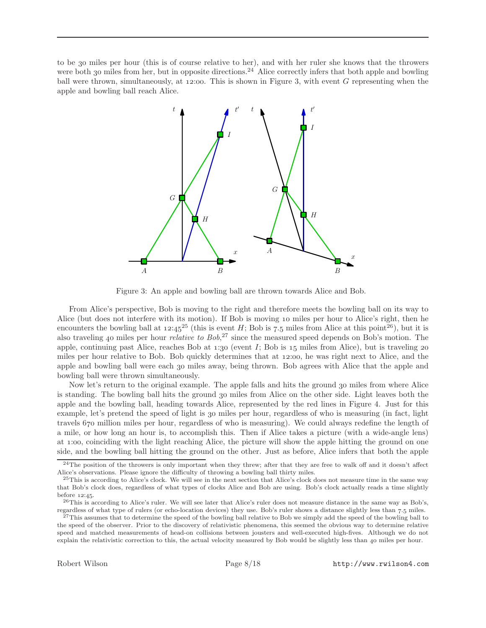to be miles per hour (this is of course relative to her), and with her ruler she knows that the throwers were both 30 miles from her, but in opposite directions.<sup>24</sup> Alice correctly infers that both apple and bowling ball were thrown, simultaneously, at  $12:00$ . This is shown in Figure 3, with event G representing when the apple and bowling ball reach Alice.



Figure 3: An apple and bowling ball are thrown towards Alice and Bob.

From Alice's perspective, Bob is moving to the right and therefore meets the bowling ball on its way to Alice (but does not interfere with its motion). If Bob is moving 10 miles per hour to Alice's right, then he encounters the bowling ball at  $12:45^{25}$  (this is event H; Bob is 7.5 miles from Alice at this point<sup>26</sup>), but it is also traveling 40 miles per hour *relative to Bob*,<sup>27</sup> since the measured speed depends on Bob's motion. The apple, continuing past Alice, reaches Bob at  $1:30$  (event I; Bob is  $15$  miles from Alice), but is traveling 20 miles per hour relative to Bob. Bob quickly determines that at 12:00, he was right next to Alice, and the apple and bowling ball were each 30 miles away, being thrown. Bob agrees with Alice that the apple and bowling ball were thrown simultaneously.

Now let's return to the original example. The apple falls and hits the ground 30 miles from where Alice is standing. The bowling ball hits the ground 30 miles from Alice on the other side. Light leaves both the apple and the bowling ball, heading towards Alice, represented by the red lines in Figure 4. Just for this example, let's pretend the speed of light is 30 miles per hour, regardless of who is measuring (in fact, light travels 670 million miles per hour, regardless of who is measuring). We could always redefine the length of a mile, or how long an hour is, to accomplish this. Then if Alice takes a picture (with a wide-angle lens) at 1:00, coinciding with the light reaching Alice, the picture will show the apple hitting the ground on one side, and the bowling ball hitting the ground on the other. Just as before, Alice infers that both the apple

 $24$ The position of the throwers is only important when they threw; after that they are free to walk off and it doesn't affect Alice's observations. Please ignore the difficulty of throwing a bowling ball thirty miles.

 $^{25}$ This is according to Alice's clock. We will see in the next section that Alice's clock does not measure time in the same way that Bob's clock does, regardless of what types of clocks Alice and Bob are using. Bob's clock actually reads a time slightly before  $12:45$ .

 $^{26}$ This is according to Alice's ruler. We will see later that Alice's ruler does not measure distance in the same way as Bob's, regardless of what type of rulers (or echo-location devices) they use. Bob's ruler shows a distance slightly less than 7.5 miles.

 $^{27}$ This assumes that to determine the speed of the bowling ball relative to Bob we simply add the speed of the bowling ball to the speed of the observer. Prior to the discovery of relativistic phenomena, this seemed the obvious way to determine relative speed and matched measurements of head-on collisions between jousters and well-executed high-fives. Although we do not explain the relativistic correction to this, the actual velocity measured by Bob would be slightly less than 40 miles per hour.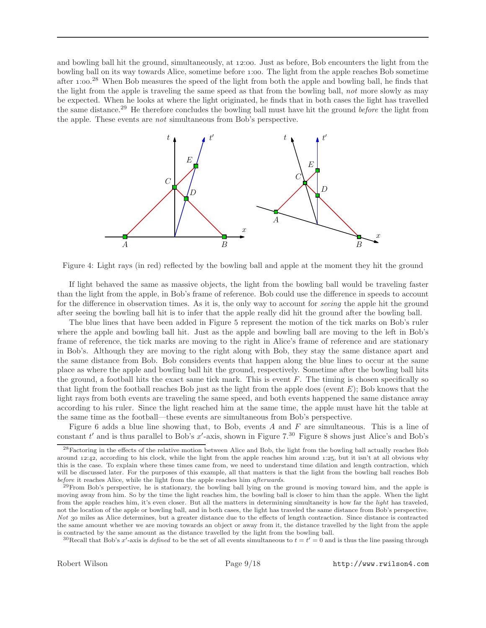and bowling ball hit the ground, simultaneously, at 12:00. Just as before, Bob encounters the light from the bowling ball on its way towards Alice, sometime before :. The light from the apple reaches Bob sometime after 1:00.<sup>28</sup> When Bob measures the speed of the light from both the apple and bowling ball, he finds that the light from the apple is traveling the same speed as that from the bowling ball, not more slowly as may be expected. When he looks at where the light originated, he finds that in both cases the light has travelled the same distance.<sup>29</sup> He therefore concludes the bowling ball must have hit the ground before the light from the apple. These events are not simultaneous from Bob's perspective.



Figure 4: Light rays (in red) reflected by the bowling ball and apple at the moment they hit the ground

If light behaved the same as massive objects, the light from the bowling ball would be traveling faster than the light from the apple, in Bob's frame of reference. Bob could use the difference in speeds to account for the difference in observation times. As it is, the only way to account for seeing the apple hit the ground after seeing the bowling ball hit is to infer that the apple really did hit the ground after the bowling ball.

The blue lines that have been added in Figure 5 represent the motion of the tick marks on Bob's ruler where the apple and bowling ball hit. Just as the apple and bowling ball are moving to the left in Bob's frame of reference, the tick marks are moving to the right in Alice's frame of reference and are stationary in Bob's. Although they are moving to the right along with Bob, they stay the same distance apart and the same distance from Bob. Bob considers events that happen along the blue lines to occur at the same place as where the apple and bowling ball hit the ground, respectively. Sometime after the bowling ball hits the ground, a football hits the exact same tick mark. This is event  $F$ . The timing is chosen specifically so that light from the football reaches Bob just as the light from the apple does (event  $E$ ); Bob knows that the light rays from both events are traveling the same speed, and both events happened the same distance away according to his ruler. Since the light reached him at the same time, the apple must have hit the table at the same time as the football—these events are simultaneous from Bob's perspective.

Figure 6 adds a blue line showing that, to Bob, events A and F are simultaneous. This is a line of constant  $t'$  and is thus parallel to Bob's  $x'$ -axis, shown in Figure 7.<sup>30</sup> Figure 8 shows just Alice's and Bob's

<sup>30</sup>Recall that Bob's x'-axis is defined to be the set of all events simultaneous to  $t = t' = 0$  and is thus the line passing through

<sup>28</sup>Factoring in the effects of the relative motion between Alice and Bob, the light from the bowling ball actually reaches Bob around 12:42, according to his clock, while the light from the apple reaches him around 1:25, but it isn't at all obvious why this is the case. To explain where these times came from, we need to understand time dilation and length contraction, which will be discussed later. For the purposes of this example, all that matters is that the light from the bowling ball reaches Bob before it reaches Alice, while the light from the apple reaches him afterwards.

 $^{29}$ From Bob's perspective, he is stationary, the bowling ball lying on the ground is moving toward him, and the apple is moving away from him. So by the time the light reaches him, the bowling ball is closer to him than the apple. When the light from the apple reaches him, it's even closer. But all the matters in determining simultaneity is how far the *light* has traveled, not the location of the apple or bowling ball, and in both cases, the light has traveled the same distance from Bob's perspective. Not 30 miles as Alice determines, but a greater distance due to the effects of length contraction. Since distance is contracted the same amount whether we are moving towards an object or away from it, the distance travelled by the light from the apple is contracted by the same amount as the distance travelled by the light from the bowling ball.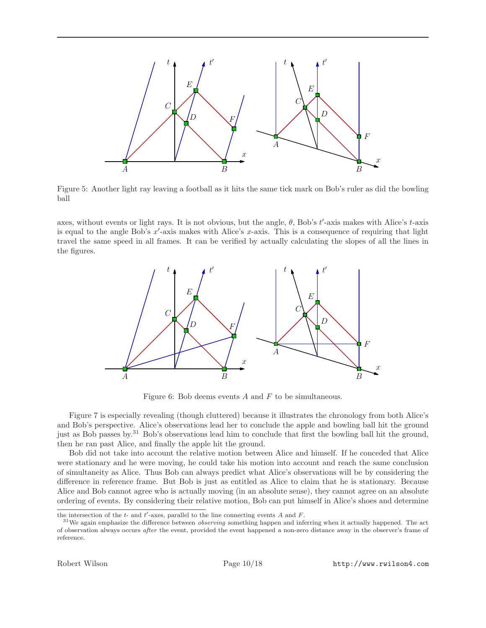

Figure 5: Another light ray leaving a football as it hits the same tick mark on Bob's ruler as did the bowling ball

axes, without events or light rays. It is not obvious, but the angle,  $\theta$ , Bob's  $t'$ -axis makes with Alice's  $t$ -axis is equal to the angle Bob's  $x'$ -axis makes with Alice's  $x$ -axis. This is a consequence of requiring that light travel the same speed in all frames. It can be verified by actually calculating the slopes of all the lines in the figures.



Figure 6: Bob deems events A and F to be simultaneous.

Figure 7 is especially revealing (though cluttered) because it illustrates the chronology from both Alice's and Bob's perspective. Alice's observations lead her to conclude the apple and bowling ball hit the ground just as Bob passes by.<sup>31</sup> Bob's observations lead him to conclude that first the bowling ball hit the ground, then he ran past Alice, and finally the apple hit the ground.

Bob did not take into account the relative motion between Alice and himself. If he conceded that Alice were stationary and he were moving, he could take his motion into account and reach the same conclusion of simultaneity as Alice. Thus Bob can always predict what Alice's observations will be by considering the difference in reference frame. But Bob is just as entitled as Alice to claim that he is stationary. Because Alice and Bob cannot agree who is actually moving (in an absolute sense), they cannot agree on an absolute ordering of events. By considering their relative motion, Bob can put himself in Alice's shoes and determine

the intersection of the  $t$ - and  $t'$ -axes, parallel to the line connecting events  $A$  and  $F$ .

 $31$ We again emphasize the difference between *observing* something happen and inferring when it actually happened. The act of observation always occurs after the event, provided the event happened a non-zero distance away in the observer's frame of reference.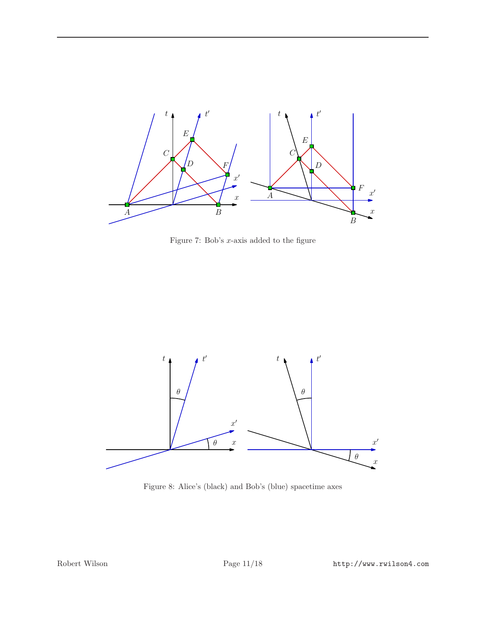

Figure 7: Bob's  $x$ -axis added to the figure



Figure 8: Alice's (black) and Bob's (blue) spacetime axes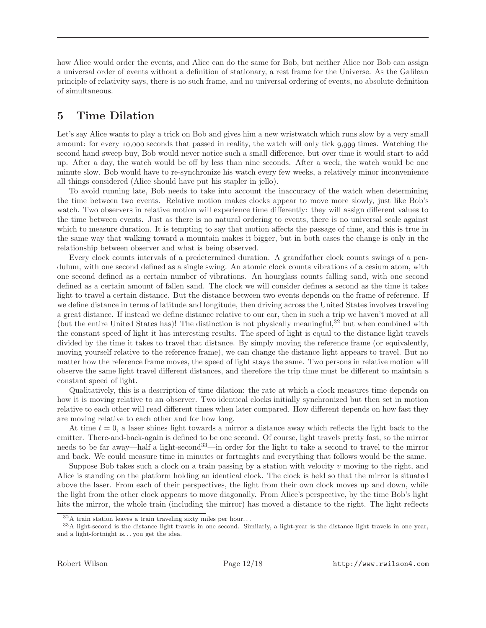how Alice would order the events, and Alice can do the same for Bob, but neither Alice nor Bob can assign a universal order of events without a definition of stationary, a rest frame for the Universe. As the Galilean principle of relativity says, there is no such frame, and no universal ordering of events, no absolute definition of simultaneous.

# 5 Time Dilation

Let's say Alice wants to play a trick on Bob and gives him a new wristwatch which runs slow by a very small amount: for every 10,000 seconds that passed in reality, the watch will only tick  $9,999$  times. Watching the second hand sweep buy, Bob would never notice such a small difference, but over time it would start to add up. After a day, the watch would be off by less than nine seconds. After a week, the watch would be one minute slow. Bob would have to re-synchronize his watch every few weeks, a relatively minor inconvenience all things considered (Alice should have put his stapler in jello).

To avoid running late, Bob needs to take into account the inaccuracy of the watch when determining the time between two events. Relative motion makes clocks appear to move more slowly, just like Bob's watch. Two observers in relative motion will experience time differently: they will assign different values to the time between events. Just as there is no natural ordering to events, there is no universal scale against which to measure duration. It is tempting to say that motion affects the passage of time, and this is true in the same way that walking toward a mountain makes it bigger, but in both cases the change is only in the relationship between observer and what is being observed.

Every clock counts intervals of a predetermined duration. A grandfather clock counts swings of a pendulum, with one second defined as a single swing. An atomic clock counts vibrations of a cesium atom, with one second defined as a certain number of vibrations. An hourglass counts falling sand, with one second defined as a certain amount of fallen sand. The clock we will consider defines a second as the time it takes light to travel a certain distance. But the distance between two events depends on the frame of reference. If we define distance in terms of latitude and longitude, then driving across the United States involves traveling a great distance. If instead we define distance relative to our car, then in such a trip we haven't moved at all (but the entire United States has)! The distinction is not physically meaningful,<sup>32</sup> but when combined with the constant speed of light it has interesting results. The speed of light is equal to the distance light travels divided by the time it takes to travel that distance. By simply moving the reference frame (or equivalently, moving yourself relative to the reference frame), we can change the distance light appears to travel. But no matter how the reference frame moves, the speed of light stays the same. Two persons in relative motion will observe the same light travel different distances, and therefore the trip time must be different to maintain a constant speed of light.

Qualitatively, this is a description of time dilation: the rate at which a clock measures time depends on how it is moving relative to an observer. Two identical clocks initially synchronized but then set in motion relative to each other will read different times when later compared. How different depends on how fast they are moving relative to each other and for how long.

At time  $t = 0$ , a laser shines light towards a mirror a distance away which reflects the light back to the emitter. There-and-back-again is defined to be one second. Of course, light travels pretty fast, so the mirror needs to be far away—half a light-second<sup>33</sup>—in order for the light to take a second to travel to the mirror and back. We could measure time in minutes or fortnights and everything that follows would be the same.

Suppose Bob takes such a clock on a train passing by a station with velocity  $v$  moving to the right, and Alice is standing on the platform holding an identical clock. The clock is held so that the mirror is situated above the laser. From each of their perspectives, the light from their own clock moves up and down, while the light from the other clock appears to move diagonally. From Alice's perspective, by the time Bob's light hits the mirror, the whole train (including the mirror) has moved a distance to the right. The light reflects

 $32A$  train station leaves a train traveling sixty miles per hour...

<sup>33</sup>A light-second is the distance light travels in one second. Similarly, a light-year is the distance light travels in one year, and a light-fortnight is. . . you get the idea.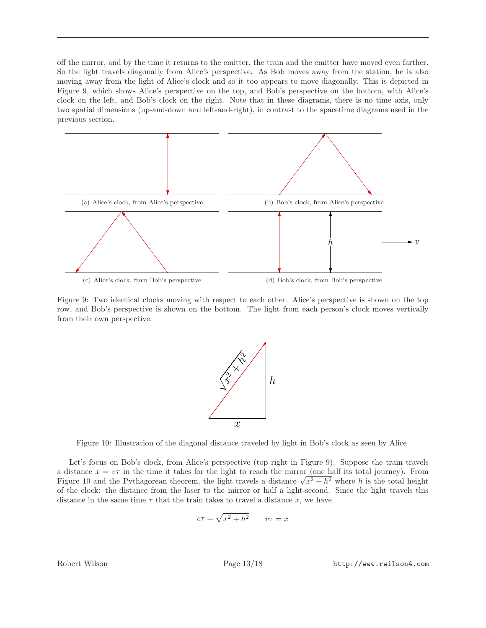off the mirror, and by the time it returns to the emitter, the train and the emitter have moved even farther. So the light travels diagonally from Alice's perspective. As Bob moves away from the station, he is also moving away from the light of Alice's clock and so it too appears to move diagonally. This is depicted in Figure 9, which shows Alice's perspective on the top, and Bob's perspective on the bottom, with Alice's clock on the left, and Bob's clock on the right. Note that in these diagrams, there is no time axis, only two spatial dimensions (up-and-down and left-and-right), in contrast to the spacetime diagrams used in the previous section.



Figure 9: Two identical clocks moving with respect to each other. Alice's perspective is shown on the top row, and Bob's perspective is shown on the bottom. The light from each person's clock moves vertically from their own perspective.



Figure 10: Illustration of the diagonal distance traveled by light in Bob's clock as seen by Alice

Let's focus on Bob's clock, from Alice's perspective (top right in Figure 9). Suppose the train travels a distance  $x = v\tau$  in the time it takes for the light to reach the mirror (one half its total journey). From Figure 10 and the Pythagorean theorem, the light travels a distance  $\sqrt{x^2 + h^2}$  where h is the total height of the clock: the distance from the laser to the mirror or half a light-second. Since the light travels this distance in the same time  $\tau$  that the train takes to travel a distance x, we have

$$
c\tau = \sqrt{x^2 + h^2} \qquad v\tau = x
$$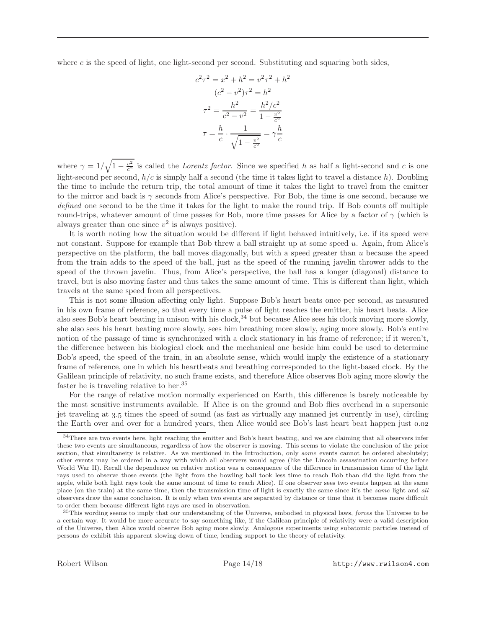where c is the speed of light, one light-second per second. Substituting and squaring both sides,

$$
c^{2}\tau^{2} = x^{2} + h^{2} = v^{2}\tau^{2} + h^{2}
$$

$$
(c^{2} - v^{2})\tau^{2} = h^{2}
$$

$$
\tau^{2} = \frac{h^{2}}{c^{2} - v^{2}} = \frac{h^{2}/c^{2}}{1 - \frac{v^{2}}{c^{2}}}
$$

$$
\tau = \frac{h}{c} \cdot \frac{1}{\sqrt{1 - \frac{v^{2}}{c^{2}}}} = \gamma \frac{h}{c}
$$

where  $\gamma = 1/\sqrt{1 - \frac{v^2}{c^2}}$  is called the *Lorentz factor*. Since we specified h as half a light-second and c is one light-second per second,  $h/c$  is simply half a second (the time it takes light to travel a distance h). Doubling the time to include the return trip, the total amount of time it takes the light to travel from the emitter to the mirror and back is  $\gamma$  seconds from Alice's perspective. For Bob, the time is one second, because we defined one second to be the time it takes for the light to make the round trip. If Bob counts off multiple round-trips, whatever amount of time passes for Bob, more time passes for Alice by a factor of  $\gamma$  (which is always greater than one since  $v^2$  is always positive).

It is worth noting how the situation would be different if light behaved intuitively, i.e. if its speed were not constant. Suppose for example that Bob threw a ball straight up at some speed u. Again, from Alice's perspective on the platform, the ball moves diagonally, but with a speed greater than u because the speed from the train adds to the speed of the ball, just as the speed of the running javelin thrower adds to the speed of the thrown javelin. Thus, from Alice's perspective, the ball has a longer (diagonal) distance to travel, but is also moving faster and thus takes the same amount of time. This is different than light, which travels at the same speed from all perspectives.

This is not some illusion affecting only light. Suppose Bob's heart beats once per second, as measured in his own frame of reference, so that every time a pulse of light reaches the emitter, his heart beats. Alice also sees Bob's heart beating in unison with his clock,<sup>34</sup> but because Alice sees his clock moving more slowly, she also sees his heart beating more slowly, sees him breathing more slowly, aging more slowly. Bob's entire notion of the passage of time is synchronized with a clock stationary in his frame of reference; if it weren't, the difference between his biological clock and the mechanical one beside him could be used to determine Bob's speed, the speed of the train, in an absolute sense, which would imply the existence of a stationary frame of reference, one in which his heartbeats and breathing corresponded to the light-based clock. By the Galilean principle of relativity, no such frame exists, and therefore Alice observes Bob aging more slowly the faster he is traveling relative to her.<sup>35</sup>

For the range of relative motion normally experienced on Earth, this difference is barely noticeable by the most sensitive instruments available. If Alice is on the ground and Bob flies overhead in a supersonic jet traveling at 3.5 times the speed of sound (as fast as virtually any manned jet currently in use), circling the Earth over and over for a hundred years, then Alice would see Bob's last heart beat happen just 0.02

<sup>&</sup>lt;sup>34</sup>There are two events here, light reaching the emitter and Bob's heart beating, and we are claiming that all observers infer these two events are simultaneous, regardless of how the observer is moving. This seems to violate the conclusion of the prior section, that simultaneity is relative. As we mentioned in the Introduction, only some events cannot be ordered absolutely; other events may be ordered in a way with which all observers would agree (like the Lincoln assassination occurring before World War II). Recall the dependence on relative motion was a consequence of the difference in transmission time of the light rays used to observe those events (the light from the bowling ball took less time to reach Bob than did the light from the apple, while both light rays took the same amount of time to reach Alice). If one observer sees two events happen at the same place (on the train) at the same time, then the transmission time of light is exactly the same since it's the same light and all observers draw the same conclusion. It is only when two events are separated by distance or time that it becomes more difficult to order them because different light rays are used in observation.

 $35$ This wording seems to imply that our understanding of the Universe, embodied in physical laws, *forces* the Universe to be a certain way. It would be more accurate to say something like, if the Galilean principle of relativity were a valid description of the Universe, then Alice would observe Bob aging more slowly. Analogous experiments using subatomic particles instead of persons do exhibit this apparent slowing down of time, lending support to the theory of relativity.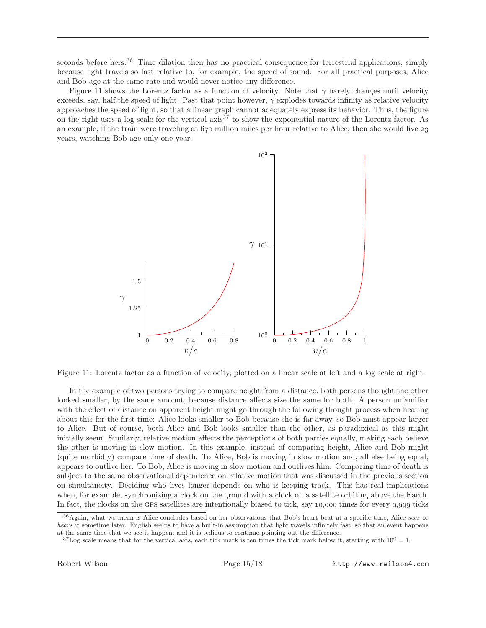seconds before hers.<sup>36</sup> Time dilation then has no practical consequence for terrestrial applications, simply because light travels so fast relative to, for example, the speed of sound. For all practical purposes, Alice and Bob age at the same rate and would never notice any difference.

Figure 11 shows the Lorentz factor as a function of velocity. Note that  $\gamma$  barely changes until velocity exceeds, say, half the speed of light. Past that point however,  $\gamma$  explodes towards infinity as relative velocity approaches the speed of light, so that a linear graph cannot adequately express its behavior. Thus, the figure on the right uses a log scale for the vertical axis<sup>37</sup> to show the exponential nature of the Lorentz factor. As an example, if the train were traveling at  $670$  million miles per hour relative to Alice, then she would live  $23$ years, watching Bob age only one year.



Figure 11: Lorentz factor as a function of velocity, plotted on a linear scale at left and a log scale at right.

In the example of two persons trying to compare height from a distance, both persons thought the other looked smaller, by the same amount, because distance affects size the same for both. A person unfamiliar with the effect of distance on apparent height might go through the following thought process when hearing about this for the first time: Alice looks smaller to Bob because she is far away, so Bob must appear larger to Alice. But of course, both Alice and Bob looks smaller than the other, as paradoxical as this might initially seem. Similarly, relative motion affects the perceptions of both parties equally, making each believe the other is moving in slow motion. In this example, instead of comparing height, Alice and Bob might (quite morbidly) compare time of death. To Alice, Bob is moving in slow motion and, all else being equal, appears to outlive her. To Bob, Alice is moving in slow motion and outlives him. Comparing time of death is subject to the same observational dependence on relative motion that was discussed in the previous section on simultaneity. Deciding who lives longer depends on who is keeping track. This has real implications when, for example, synchronizing a clock on the ground with a clock on a satellite orbiting above the Earth. In fact, the clocks on the GPS satellites are intentionally biased to tick, say  $10,000$  times for every  $9,999$  ticks

<sup>36</sup>Again, what we mean is Alice concludes based on her observations that Bob's heart beat at a specific time; Alice sees or hears it sometime later. English seems to have a built-in assumption that light travels infinitely fast, so that an event happens at the same time that we see it happen, and it is tedious to continue pointing out the difference.

 $37$ Log scale means that for the vertical axis, each tick mark is ten times the tick mark below it, starting with  $10^0 = 1$ .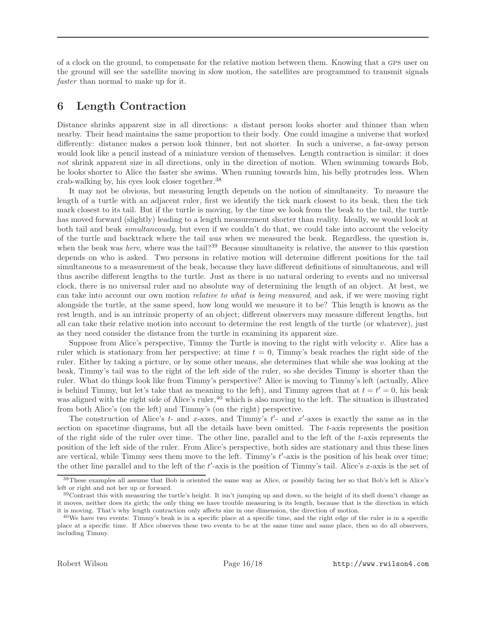of a clock on the ground, to compensate for the relative motion between them. Knowing that a gps user on the ground will see the satellite moving in slow motion, the satellites are programmed to transmit signals faster than normal to make up for it.

#### 6 Length Contraction

Distance shrinks apparent size in all directions: a distant person looks shorter and thinner than when nearby. Their head maintains the same proportion to their body. One could imagine a universe that worked differently: distance makes a person look thinner, but not shorter. In such a universe, a far-away person would look like a pencil instead of a miniature version of themselves. Length contraction is similar: it does not shrink apparent size in all directions, only in the direction of motion. When swimming towards Bob, he looks shorter to Alice the faster she swims. When running towards him, his belly protrudes less. When crab-walking by, his eyes look closer together.<sup>38</sup>

It may not be obvious, but measuring length depends on the notion of simultaneity. To measure the length of a turtle with an adjacent ruler, first we identify the tick mark closest to its beak, then the tick mark closest to its tail. But if the turtle is moving, by the time we look from the beak to the tail, the turtle has moved forward (slightly) leading to a length measurement shorter than reality. Ideally, we would look at both tail and beak *simultaneously*, but even if we couldn't do that, we could take into account the velocity of the turtle and backtrack where the tail was when we measured the beak. Regardless, the question is, when the beak was here, where was the tail?<sup>39</sup> Because simultaneity is relative, the answer to this question depends on who is asked. Two persons in relative motion will determine different positions for the tail simultaneous to a measurement of the beak, because they have different definitions of simultaneous, and will thus ascribe different lengths to the turtle. Just as there is no natural ordering to events and no universal clock, there is no universal ruler and no absolute way of determining the length of an object. At best, we can take into account our own motion *relative to what is being measured*, and ask, if we were moving right alongside the turtle, at the same speed, how long would we measure it to be? This length is known as the rest length, and is an intrinsic property of an object; different observers may measure different lengths, but all can take their relative motion into account to determine the rest length of the turtle (or whatever), just as they need consider the distance from the turtle in examining its apparent size.

Suppose from Alice's perspective, Timmy the Turtle is moving to the right with velocity  $v$ . Alice has a ruler which is stationary from her perspective; at time  $t = 0$ , Timmy's beak reaches the right side of the ruler. Either by taking a picture, or by some other means, she determines that while she was looking at the beak, Timmy's tail was to the right of the left side of the ruler, so she decides Timmy is shorter than the ruler. What do things look like from Timmy's perspective? Alice is moving to Timmy's left (actually, Alice is behind Timmy, but let's take that as meaning to the left), and Timmy agrees that at  $t = t' = 0$ , his beak was aligned with the right side of Alice's ruler,<sup>40</sup> which is also moving to the left. The situation is illustrated from both Alice's (on the left) and Timmy's (on the right) perspective.

The construction of Alice's  $t$ - and  $x$ -axes, and Timmy's  $t'$ - and  $x'$ -axes is exactly the same as in the section on spacetime diagrams, but all the details have been omitted. The t-axis represents the position of the right side of the ruler over time. The other line, parallel and to the left of the t-axis represents the position of the left side of the ruler. From Alice's perspective, both sides are stationary and thus these lines are vertical, while Timmy sees them move to the left. Timmy's t'-axis is the position of his beak over time; the other line parallel and to the left of the  $t'$ -axis is the position of Timmy's tail. Alice's x-axis is the set of

<sup>38</sup>These examples all assume that Bob is oriented the same way as Alice, or possibly facing her so that Bob's left is Alice's left or right and not her up or forward.

 $39$ Contrast this with measuring the turtle's height. It isn't jumping up and down, so the height of its shell doesn't change as it moves, neither does its girth; the only thing we have trouble measuring is its length, because that is the direction in which it is moving. That's why length contraction only affects size in one dimension, the direction of motion.

<sup>40</sup>We have two events: Timmy's beak is in a specific place at a specific time, and the right edge of the ruler is in a specific place at a specific time. If Alice observes these two events to be at the same time and same place, then so do all observers, including Timmy.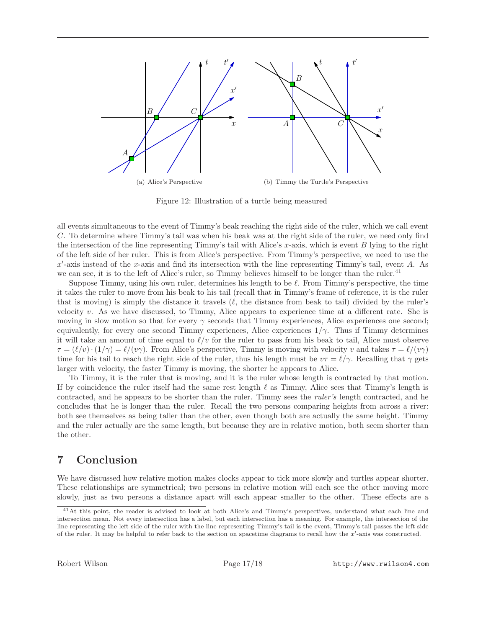

Figure 12: Illustration of a turtle being measured

all events simultaneous to the event of Timmy's beak reaching the right side of the ruler, which we call event C. To determine where Timmy's tail was when his beak was at the right side of the ruler, we need only find the intersection of the line representing Timmy's tail with Alice's x-axis, which is event B lying to the right of the left side of her ruler. This is from Alice's perspective. From Timmy's perspective, we need to use the  $x'$ -axis instead of the x-axis and find its intersection with the line representing Timmy's tail, event A. As we can see, it is to the left of Alice's ruler, so Timmy believes himself to be longer than the ruler.<sup>41</sup>

Suppose Timmy, using his own ruler, determines his length to be  $\ell$ . From Timmy's perspective, the time it takes the ruler to move from his beak to his tail (recall that in Timmy's frame of reference, it is the ruler that is moving) is simply the distance it travels  $(\ell, \ell)$  the distance from beak to tail) divided by the ruler's velocity v. As we have discussed, to Timmy, Alice appears to experience time at a different rate. She is moving in slow motion so that for every  $\gamma$  seconds that Timmy experiences, Alice experiences one second; equivalently, for every one second Timmy experiences, Alice experiences  $1/\gamma$ . Thus if Timmy determines it will take an amount of time equal to  $\ell/v$  for the ruler to pass from his beak to tail, Alice must observe  $\tau = (\ell/v) \cdot (1/\gamma) = \ell/(v\gamma)$ . From Alice's perspective, Timmy is moving with velocity v and takes  $\tau = \ell/(v\gamma)$ time for his tail to reach the right side of the ruler, thus his length must be  $v\tau = \ell/\gamma$ . Recalling that  $\gamma$  gets larger with velocity, the faster Timmy is moving, the shorter he appears to Alice.

To Timmy, it is the ruler that is moving, and it is the ruler whose length is contracted by that motion. If by coincidence the ruler itself had the same rest length  $\ell$  as Timmy, Alice sees that Timmy's length is contracted, and he appears to be shorter than the ruler. Timmy sees the ruler's length contracted, and he concludes that he is longer than the ruler. Recall the two persons comparing heights from across a river: both see themselves as being taller than the other, even though both are actually the same height. Timmy and the ruler actually are the same length, but because they are in relative motion, both seem shorter than the other.

# 7 Conclusion

We have discussed how relative motion makes clocks appear to tick more slowly and turtles appear shorter. These relationships are symmetrical; two persons in relative motion will each see the other moving more slowly, just as two persons a distance apart will each appear smaller to the other. These effects are a

<sup>41</sup>At this point, the reader is advised to look at both Alice's and Timmy's perspectives, understand what each line and intersection mean. Not every intersection has a label, but each intersection has a meaning. For example, the intersection of the line representing the left side of the ruler with the line representing Timmy's tail is the event, Timmy's tail passes the left side of the ruler. It may be helpful to refer back to the section on spacetime diagrams to recall how the  $x'$ -axis was constructed.